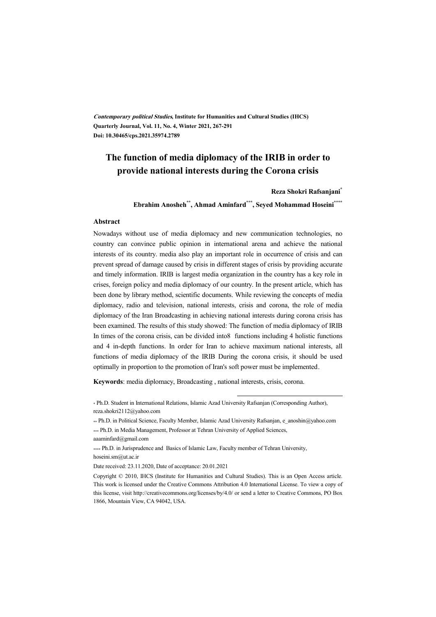**Contemporary political Studies, Institute for Humanities and Cultural Studies (IHCS) Quarterly Journal, Vol. 11, No. 4, Winter 2021, 267-291 Doi: 10.30465/cps.2021.35974.2789** 

# **The function of media diplomacy of the IRIB in order to provide national interests during the Corona crisis**

**Reza Shokri Rafsanjani\***

**Ebrahim Anosheh\*\*, Ahmad Aminfard\*\*\*, Seyed Mohammad Hoseini\*\*\*\***

#### **Abstract**

Nowadays without use of media diplomacy and new communication technologies, no country can convince public opinion in international arena and achieve the national interests of its country. media also play an important role in occurrence of crisis and can prevent spread of damage caused by crisis in different stages of crisis by providing accurate and timely information. IRIB is largest media organization in the country has a key role in crises, foreign policy and media diplomacy of our country. In the present article, which has been done by library method, scientific documents. While reviewing the concepts of media diplomacy, radio and television, national interests, crisis and corona, the role of media diplomacy of the Iran Broadcasting in achieving national interests during corona crisis has been examined. The results of this study showed: The function of media diplomacy of IRIB In times of the corona crisis, can be divided into8 functions including 4 holistic functions and 4 in-depth functions. In order for Iran to achieve maximum national interests, all functions of media diplomacy of the IRIB During the corona crisis, it should be used optimally in proportion to the promotion of Iran's soft power must be implemented.

**Keywords**: media diplomacy, Broadcasting , national interests, crisis, corona.

\* Ph.D. Student in International Relations, Islamic Azad University Rafsanjan (Corresponding Author), reza.shokri2112@yahoo.com

\*\* Ph.D. in Political Science, Faculty Member, Islamic Azad University Rafsanjan, e\_anoshin@yahoo.com \*\*\* Ph.D. in Media Management, Professor at Tehran University of Applied Sciences,

.

aaaminfard@gmail.com

\*\*\*\* Ph.D. in Jurisprudence and Basics of Islamic Law, Faculty member of Tehran University, hoseini.sm@ut.ac.ir

Date received: 23.11.2020, Date of acceptance: 20.01.2021

Copyright © 2010, IHCS (Institute for Humanities and Cultural Studies). This is an Open Access article. This work is licensed under the Creative Commons Attribution 4.0 International License. To view a copy of this license, visit http://creativecommons.org/licenses/by/4.0/ or send a letter to Creative Commons, PO Box 1866, Mountain View, CA 94042, USA.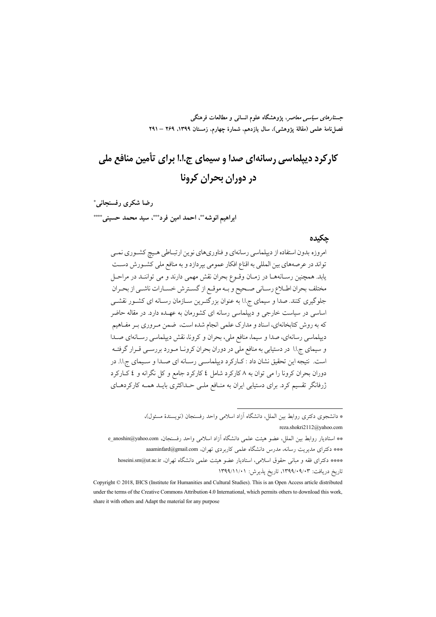جس*تارهای سیاسی معاصر*، پژوهشگاه علوم انسانی و مطالعات فرهنگی فصل نامهٔ علمی (مقالهٔ یژوهشی)، سال یازدهم، شمارهٔ چهارم، زمستان ۱۳۹۹، ۲۶۹ – ۲۹۱

# کارکرد دیپلماسی رسانهای صدا و سیمای ج.ا.ا برای تأمین منافع ملی در دوران بحران کرونا

رضا شكرى رفسنجاني ً ابراهيم الوشه""، احمد امين فرد""، سيد محمد حسبني .\*\*\*

#### حكىدە

امروزه بدون استفاده از دیپلماسی رسانهای و فناوریهای نوین ارتبـاطی هـیچ کشـوری نمـی تواند در عرصههای بین المللی به اقناع افکار عمومی بپردازد و به منافع ملی کشـورش دسـت يابد. همچنين رسـانههــا در زمــان وقــوع بحران نقش مهمي دارند و مي تواننــد در مراحــل مختلف بحران اطـلاع رسـاني صـحيح و بـه موقـع از گسـترش خسـارات ناشـي از بحـران جلوگیری کنند. صدا و سیمای ج.ا.ا به عنوان بزرگتـرین سـازمان رسـانه ای کشـور نقشـی اساسی در سیاست خارجی و دیپلماسی رسانه ای کشورمان به عهـده دارد. در مقاله حاضر که به روش کتابخانهای، اسناد و مدارک علمی انجام شده است، ضمن مـروری بـر مفـاهیم دیپلماسی رسانهای، صدا و سیما، منافع ملی، بحران و کرونا، نقش دیپلماسی رسـانهای صـدا و سیمای ج.ا.ا در دستیابی به منافع ملی در دوران بحران کرونـا مـورد بررسـی قـرار گرفتـه است. نتيجه اين تحقيق نشان داد : كـاركرد ديپلماسـي رسـانه اي صـدا و سـيماي ج.ا.ا. در دوران بحران کرونا را می توان به ۸ کارکرد شامل ٤ کارکرد جامع و کل نگرانه و ٤ کـارکرد ژرفانگر تقسیم کرد. برای دستیابی ایران به منافع ملـی حـداکثری بایـد همـه کارکردهـای

> \* دانشجوی دکتری روابط بین الملل، دانشگاه آزاد اسلامی واحد رفسنجان (نویسندهٔ مسئول)، reza.shokri2112@yahoo.com

\*\* استاديار روابط بين الملل، عضو هيئت علمي دانشگاه آزاد اسلامي واحد رفسنجان، e\_anoshin@yahoo.com \*\*\* دکترای مدیریت رسانه، مدرس دانشگاه علمی کاربردی تهران، aaaminfard@gmail.com \*\*\*\* دكتراى فقه و مبانى حقوق اسلامى، استاديار عضو هيئت علمى دانشگاه تهران، hoseini.sm@ut.ac.ir تاريخ دريافت: ۰۹/۰۹/۰۹/۰۳۹۹، تاريخ پذيرش: ۱۳۹۹/۱۱/۰۱

Copyright © 2018, IHCS (Institute for Humanities and Cultural Studies). This is an Open Access article distributed under the terms of the Creative Commons Attribution 4.0 International, which permits others to download this work, share it with others and Adapt the material for any purpose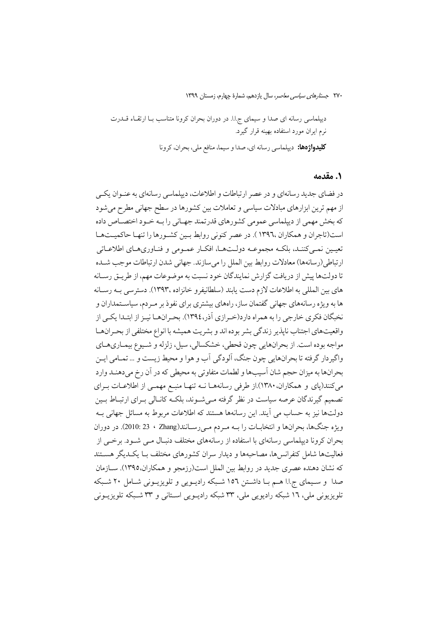#### ٠. مقدمه

در فضاي جديد رسانهاي و در عصر ارتباطات و اطلاعات، ديپلماسي رسانهاي به عنـوان يكـي از مهم ترین ابزارهای مبادلات سیاسی و تعاملات بین کشورها در سطح جهانی مطرح میشود که بخش مهمی از دیپلماسی عمومی کشورهای قدرتمند جهـانی را بـه خـود اختصـاص داده است(تاجران و همكاران ١٣٩٦٠ ). در عصر كنوني روابط بين كشورها را تنهـا حاكميـتهـا تعيـين نمـيكننـد، بلكـه مجموعـه دولـتهـا، افكـار عمـومى و فنـاورىهـاى اطلاعـاتى ارتباطي(رسانهها) معادلات روابط بين الملل را ميسازند. جهاني شدن ارتباطات موجب شـده تا دولتها پیش از دریافت گزارش نمایندگان خود نسبت به موضوعات مهم، از طریـق رسـانه های بین المللی به اطلاعات لازم دست یابند (سلطانیفرو خانزاده ،۱۳۹۳). دسترسی بــه رســانه ها به ویژه رسانههای جهانی گفتمان ساز، راههای بیشتری برای نفوذ بر مـردم، سیاسـتمداران و نخبگان فکری خارجی را به همراه دارد(خـرازی آذر،١٣٩٤). بحـرانهـا نيـز از ابتـدا يکـي از واقعیتهای اجتناب ناپذیر زندگی بشر بوده اند و بشریت همیشه با انواع مختلفی از بحـرانهـا مواجه بو ده است. از بحرانهايي چون قحطي، خشكسالي، سيل، زلزله و شـيوع بيمـاريهـاي واگيردار گرفته تا بحرانهايي چون جنگ، آلودگي اَب و هوا و محيط زيست و ... تمـامي ايـن بحرانها به ميزان حجم شان آسيبها و لطمات متفاوتي به محيطي كه در أن رخ مي دهنـد وارد میکنند(پای و همکاران.۱۳۸۰).از طرفی رسانههـا نــه تنهـا منبــع مهمــی از اطلاعــات بــرای تصمیم گیرندگان عرصه سیاست در نظر گرفته مے شـوند، بلکـه کانـالی بـرای ارتبـاط بـین دولتها نيز به حساب مي آيند. اين رسانهها هستند كه اطلاعات مربوط به مسائل جهاني بـه ويژه جنگها، بحرانها و انتخابات را بـه مـردم مـىرسـانند(Zhang ، 23 . 2010). در دوران بحران کرونا دیپلماسی رسانهای با استفاده از رسانههای مختلف دنبـال مـی شـود. برخـی از فعالیتها شامل کنفرانس ها، مصاحبهها و دیدار سران کشورهای مختلف بـا یکـدیگر هســتند که نشان دهنده عصری جدید در روابط بین الملل است(رزمجو و همکاران،۱۳۹۵). ســازمان صدا و سـيماي ج.ا.ا هـم بـا داشـتن ١٥٦ شـبكه راديـويي و تلويزيـوني شـامل ٢٠ شـبكه تلویزیونی ملی، ۱۲ شبکه رادیویی ملی، ۳۳ شبکه رادیــویی اســتانی و ۳۳ شــبکه تلویزیــونی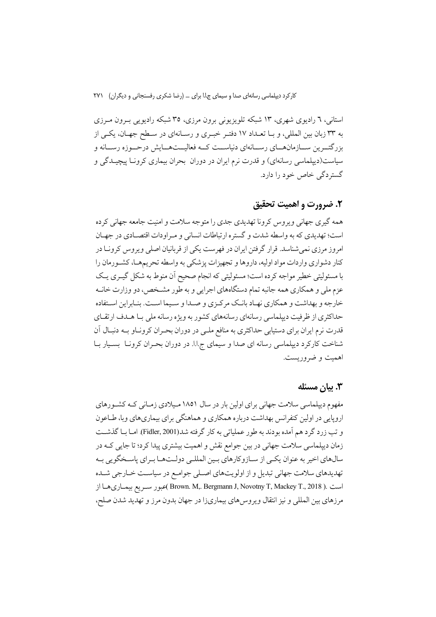استانی، ٦ رادیوی شهری، ١٣ شبکه تلویزیونی برون مرزی، ٣٥ شبکه رادیویی بـرون مـرزی به ٣٣ زبان بين المللي، و بـا تعـداد ١٧ دفتـر خبـري و رسـانهاي در سـطح جهـان، يكـي از بزرگتــرين ســـازمانهـــاي رســـانهاي دنياســـت كـــه فعاليـــتهـــايش درحـــوزه رســـانه و سیاست(دیپلماسی رسانهای) و قدرت نرم ایران در دوران بحران بیماری کرونـا پیچیـدگی و گستردگی خاص خود را دارد.

### ٢. ضرورت و اهميت تحقيق

همه گیری جهانی ویروس کرونا تهدیدی جدی را متوجه سلامت و امنیت جامعه جهانی کرده است؛ تهدیدی که به واسطه شدت و گستره ارتباطات انسانی و مراودات اقتصـادی در جهـان امروز مرزی نمی شناسد. قرار گرفتن ایران در فهرست یکی از قربانیان اصلی ویروس کرونا در کنار دشواری واردات مواد اولیه، داروها و تجهیزات پزشکی به واسطه تحریمهـا، کشـورمان را با مسئولیتی خطیر مواجه کرده است؛ مسئولیتی که انجام صحیح آن منوط به شکل گیـری یـک عزم ملي و همكاري همه جانبه تمام دستگاههاي اجرايي و به طور مشــخص، دو وزارت خانــه خارجه و بهداشت و همکاری نهـاد بانـک مرکـزی و صـدا و سـيما اسـت. بنـابراين اسـتفاده حداکثری از ظرفیت دیپلماسی رسانهای رسانههای کشور به ویژه رسانه ملی بـا هـدف ارتقـای قدرت نرم ایران برای دستیابی حداکثری به منافع ملـی در دوران بحـران کرونـاو بــه دنبـال آن شناخت کارکرد دیپلماسی رسانه ای صدا و سیمای ج.ا.ا. در دوران بحـران کرونـا بسـيار بـا اهمت و ضروربست.

#### ۳. بیان مسئله

مفهوم دیپلماسی سلامت جهانی برای اولین بار در سال ۱۸۵۱ میلادی زمـانی کـه کشـورهای اروپایی در اولین کنفرانس بهداشت درباره همکاری و هماهنگی برای بیماریهای وبا، طـاعون و تب زرد گرد هم آمده بودند به طور عملیاتی به کار گرفته شد(Fidler, 2001). امـا بـا گذشــت زمان دیپلماسی سلامت جهانی در بین جوامع نقش و اهمیت بیشتری پیدا کرد؛ تا جایی کـه در سالهاي اخير به عنوان يكيي از سـازوكارهاي بـين المللـي دولـتهـا بـراي پاسـخگويي بـه تهدیدهای سلامت جهانی تبدیل و از اولویتهای اصلی جوامع در سیاست خـارجی شـده است .( Brown. M,. Bergmann J, Novotny T, Mackey T., 2018 )عبور سـريع بيمـاريهـا از مرزهاي بين المللي و نيز انتقال ويروس هاي بيماريزا در جهان بدون مرز و تهديد شدن صلح،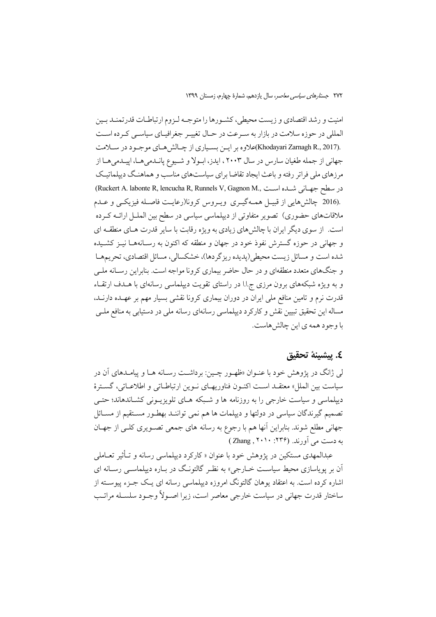امنیت و رشد اقتصادی و زیست محیطی، کشـورها را متوجـه لـزوم ارتباطـات قدرتمنـد بـین المللی در حوزه سلامت در بازار به سـرعت در حـال تغییـر جغرافیـای سیاسـی کـرده اسـت .(Khodayari Zarnagh R., 2017)علاوه بر ايـن بسـياري از چـالش(هـاي موجـود در سـلامت جهانی از جمله طغیان سارس در سال ۲۰۰۳ ، ایدز، ابولا و شـیوع پانـدمیهـا، اپیـدمیهـا از مرزهای ملی فراتر رفته و باعث ایجاد تقاضا برای سیاستهای مناسب و هماهنگ دیپلماتیک در سطح جهانی شده است ,Ruckert A. labonte R, lencucha R, Runnels V, Gagnon M) .(2016 چالشهایی از قبیـل همـهگیـری ویـروس کرونا(رعایـت فاصـله فیزیکـی و عـدم ملاقاتهای حضوری) تصویر متفاوتی از دیپلماسی سیاسی در سطح بین الملـل ارائــه کــرده است. از سوی دیگر ایران با چالشهای زیادی به ویژه رقابت با سایر قدرت هـای منطقـه ای و جهانی در حوزه گسترش نفوذ خود در جهان و منطقه که اکنون به رسـانههـا نیــز کشــیده شده است و مسائل زیست محیطی(پدیده ریزگردها)، خشکسالی، مسائل اقتصادی، تحریمها و جنگهای متعدد منطقهای و در حال حاضر بیماری کرونا مواجه است. بنابراین رسـانه ملـی و به ویژه شبکههای برون مرزی ج.ا.ا در راستای تقویت دیپلماسی رسانهای با هــدف ارتقــاء قدرت نرم و تامین منافع ملی ایران در دوران بیماری کرونا نقشی بسیار مهم بر عهـده دارنــد، مساله این تحقیق تبیین نقش و کارکرد دیپلماسی رسانهای رسانه ملی در دستیابی به منافع ملـی با وجود همه ی این چالش هاست.

#### ٤. بيشينة تحقيق

لی ژانگ در پژوهش خود با عنــوان «ظهــور چــین: برداشــت رســانه هــا و پیامــدهای آن در سياست بين الملل» معتقـد اسـت اكنـون فناوريهـاي نـوين ارتباطـاتي و اطلاعـاتي، گسـترهٔ دیپلماسی و سیاست خارجی را به روزنامه ها و شـبکه هـای تلویزیـونی کشـاندهاند؛ حتـی تصمیم گیرندگان سیاسی در دولتها و دیپلمات ها هم نمی تواننـد بهطـور مسـتقیم از مســائل جهانی مطلع شوند. بنابراین آنها هم با رجوع به رسانه های جمعی تصـویری کلـی از جهـان به دست می آورند. (۲۳۶: ۲۰۱۰) (Zhang

عبدالمهدی مستکین در پژوهش خود با عنوان « کارکرد دیپلماسی رسانه و تـأثیر تعـامل<sub>ی</sub> آن بر پویاسازی محیط سیاسـت خــارجی» به نظـر گالتونـگ در بــاره دیپلماســی رســانه ای اشاره کرده است. به اعتقاد یوهان گالتونگ امروزه دیپلماسی رسانه ای یـک جـزء پیوســته از ساختار قدرت جهانی در سیاست خارجی معاصر است، زیرا اصـولاً وجـود سلسـله مراتـب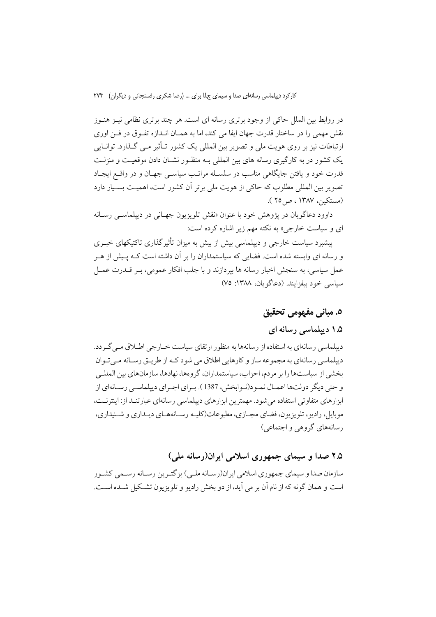در روابط بین الملل حاکی از وجود برتری رسانه ای است. هر چند برتری نظامی نیـز هنـوز نقش مهمی را در ساختار قدرت جهان ایفا می کند، اما به همـان انــدازه تفـوق در فــن اوری ارتباطات نیز بر روی هویت ملی و تصویر بین المللی یک کشور تــأثیر مــی گــذارد. توانــایی یک کشور در به کارگیری رسانه های بین المللی بـه منظـور نشـان دادن موقعیـت و منزلـت قدرت خود و یافتن جایگاهی مناسب در سلسـله مراتـب سیاسـی جهـان و در واقـع ایجـاد تصویر بین المللی مطلوب که حاکی از هویت ملی برتر آن کشور است، اهمیـت بسـیار دارد (مستكين، ١٣٨٧ ، ص ٢٥ ).

داوود دعاگویان در پژوهش خود با عنوان «نقش تلویزیون جهـانی در دییلماســ رسـانه ای و سیاست خارجی» به نکته مهم زیر اشاره کرده است:

پیشبرد سیاست خارجی و دیپلماسی بیش از بیش به میزان تأثیر گذاری تاکتیکهای خبـری و رسانه ای وابسته شده است. فضایی که سیاستمداران را بر آن داشته است کـه پـیش از هـر عمل سیاسی، به سنجش اخبار رسانه ها بیردازند و با جلب افکار عمومی، بـر قــدرت عمــل سياسي خود بيفزايند. (دعاگويان، ١٣٨٨: ٧٥)

# ٥. مباني مفهومي تحقيق

### ۱.۵ دیپلماسی رسانه ای

دیپلماسی رسانهای به استفاده از رسانهها به منظور ارتقای سیاست خــارجی اطــلاق مــی گــر دد. دیپلماسی رسانهای به مجموعه ساز و کارهایی اطلاق می شود کـه از طریـق رسـانه مـی تـوان بخشی از سیاستها را بر مردم، احزاب، سیاستمداران، گروهها، نهادها، سازمانهای بین المللـی و حتى ديگر دولتها اعمـال نمـود(نـوابخش، 1387 ). بـراي اجـراي ديپلماسـي رسـانهاي از ایزارهای متفاوتی استفاده می شود. مهمترین ایزارهای دیپلماسی رسانهای عبار تنبد از: اینترنیت، موبایل، رادیو، تلویزیون، فضای مجـازی، مطبوعات(کلیـه رسـانههـای دیـداری و شــنیداری، رسانههای گروهی و اجتماعی)

### ۲.۵ صدا و سیمای جمهوری اسلامی ایران(رسانه ملی)

سازمان صدا و سیمای جمهوری اسلامی ایران(رسـانه ملـی) بزگتـرین رسـانه رسـمی کشـور است و همان گونه كه از نام آن بر مي آيد، از دو بخش راديو و تلويزيون تشـكيل شـده اسـت.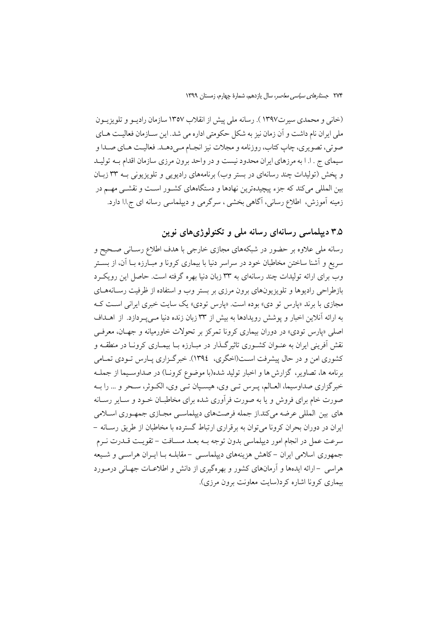(خانی و محمدی سیرت۱۳۹۷). رسانه ملی پیش از انقلاب ۱۳۵۷ سازمان رادیـو و تلویزیـون ملي ايران نام داشت و آن زمان نيز به شكل حكومتي اداره مي شد. اين ســازمان فعاليـت هــاي صوتي، تصويري، چاپ كتاب، روزنامه و مجلات نيز انجـام مـىدهـد. فعاليـت هـاي صـدا و سیمای ج . ا. ا به مرزهای ایران محدود نیست و در واحد برون مرزی سازمان اقدام بـه تولیـد و يخش (توليدات چند رسانهاي در بستر وب) برنامههاي راديويي و تلويزيوني بـه ٣٣ زبـان بین المللی می کند که جزء پیچیدهترین نهادها و دستگاههای کشـور اسـت و نقشـی مهـم در زمینه آموزش، اطلاع رسانی، آگاهی بخشی ، سرگرمی و دیپلماسی رسانه ای ج.ا.ا دارد.

۳.۵ دیپلماسی رسانهای رسانه ملی و تکنولوژیهای نوین

رسانه ملی علاوه بر حضور در شبکههای مجازی خارجی با هدف اطلاع رسـانی صـحیح و سریع و آشنا ساختن مخاطبان خود در سراسر دنیا با بیماری کرونا و مبـارزه بــا اَن، از بســتر وب برای ارائه تولیدات چند رسانهای به ۳۳ زبان دنیا بهره گرفته است. حاصل این رویک رد بازطراحی رادیوها و تلویزیونهای برون مرزی بر بستر وب و استفاده از ظرفیت رسـانههــای مجازی با برند «پارس تو دی» بوده است. «پارس تودی» یک سایت خبری ایرانی است کـه به ارائه آنلاین اخبار و پوشش رویدادها به بیش از ۳۳ زبان زنده دنیا مے په دازد. از اهـداف اصلي «يارس تودي» در دوران بيماري كرونا تمركز بر تحولات خاورميانه و جهـان، معرفـي نقش اَفرینی ایران به عنــوان کشــوری تاثیرگــذار در مبــارزه بــا بیمــاری کرونــا در منطقــه و کشوری امن و در حال پیشرفت اسـت(اخگری، ١٣٩٤). خبر گـزاری پـارس تـودی تمـامی برنامه ها، تصاویر، گزارش ها و اخبار تولید شده(با موضوع کرونـا) در صداوسـیما از جملـه خبرگزاري صداوسيما، العـالم، پـرس تـي وي، هيسـپان تـي وي، الكـوثر، سـحر و … را بـه صورت خام برای فروش و یا به صورت فرآوری شده برای مخاطبـان خـود و سـایر رسـانه های بین المللی عرضه میکند.از جمله فرصتهای دیپلماسی مجـازی جمهـوری اسـلامی ایران در دوران بحران کرونا می توان به برقراری ارتباط گسترده با مخاطبان از طریق رسـانه – سرعت عمل در انجام امور دیپلماسی بدون توجه بــه بعــد مســافت – تقویــت قــدرت نــرم جمهوری اسلامی ایران –کاهش هزینههای دیپلماسـی –مقابلـه بـا ایـران هراسـی و شـیعه هراسی –ارائه ایدهها و آرمانهای کشور و بهرهگیری از دانش و اطلاعـات جهـانی درمـورد بیماری کرونا اشاره کرد(سایت معاونت برون مرزی).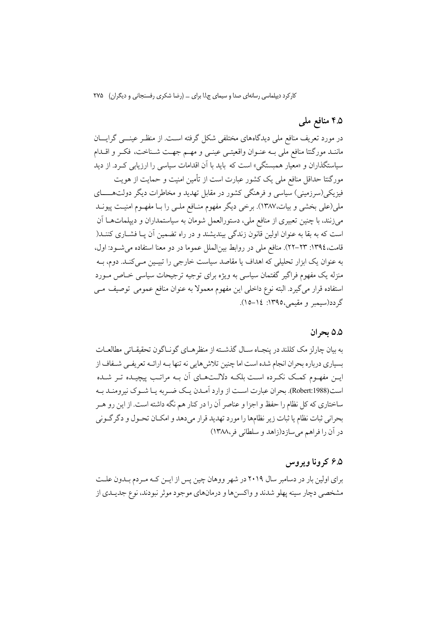# ۹.۵ منافع مل<sub>ی</sub>

در مورد تعریف منافع ملی دیدگاههای مختلفی شکل گرفته است. از منظـر عینـــی گرایـــان ماننـد موركتتا منافع ملي بـه عنـوان واقعيتـي عينـي و مهـم جهـت شـناخت، فكـر و اقــدام سیاستگذاران و «معبار همستگی» است که باید با آن اقدامات سیاسی را ارزیابی کـرد. از دید مورگتتا حداقل منافع ملی یک کشور عبارت است از تأمین امنیت و حمایت از هویت فیزیکی(سرزمینی) سیاسی و فرهنگی کشور در مقابل تهدید و مخاطرات دیگر دولتهـــــای ملی(علمی بخشی و بیات،۱۳۸۷). برخی دیگر مفهوم منـافع ملـی را بـا مفهـوم امنیـت پیونــد می;زنند، با چنین تعبیری از منافع ملی، دستورالعمل شومان به سیاستمداران و دیپلماتهــا آن است که به بقا به عنوان اولین قانون زندگی بیندیشند و در راه تضمین آن پـا فشـاری کننــد( قامت،١٣٩٤: ٢٣-٢٢). منافع ملي در روابط بينالملل عموما در دو معنا استفاده مي شــود: اول، به عنوان یک ابزار تحلیلی که اهداف یا مقاصد سیاست خارجی را تبیـین مـی کنـد. دوم، بــه منزله یک مفهوم فراگیر گفتمان سیاسی به ویژه برای توجیه ترجیحات سیاسی خـاص مــورد

استفاده قرار می گیرد. البته نوع داخلی این مفهوم معمولاً به عنوان منافع عمومی توصیف مــی گردد(سيمبر و مقيمي،١٣٩٥: ١٤–١٥).

#### ۵.۵ بحران

به بیان چارلز مک کللند در پنجـاه سـال گذشـته از منظرهـاي گونـاگون تحقیقـاتی مطالعـات بسیاری درباره بحران انجام شده است اما چنین تلاش هایی نه تنها بـه ارائــه تعریفــی شــفاف از این مفهوم کمک نکرده است بلکه دلالتهای آن بـه مراتـب پیچیـده تـر شـده است(Robert:1988). بحران عبارت است از وارد آمـدن یـک ضـربه یـا شـوک نیرومنـد بـه ساختاری که کل نظام را حفظ و اجزا و عناصر آن را در کنار هم نگه داشته است. از این رو هـر بحراني ثبات نظام يا ثبات زير نظامها را مورد تهديد قرار ميدهد و امكـان تحـول و دگرگـوني در آن را فراهم می سازد(زاهد و سلطانی فر،۱۳۸۸)

#### ۶.۵ که وڼا ویړوس

برای اولین بار در دسامبر سال ۲۰۱۹ در شهر ووهان چین پس از ایــن کــه مـردم بــدون علــت مشخصی دچار سینه پهلو شدند و واکسنها و درمانهای موجود موثر نبودند، نوع جدیـدی از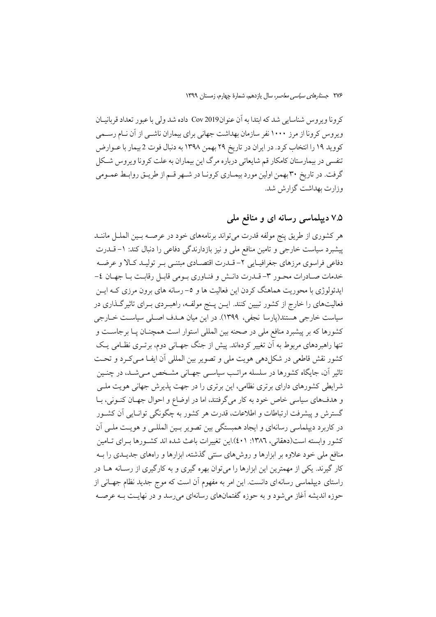كرونا ويروس شناسايي شد كه ابتدا به آن عنوان2019 Cov داده شد ولي با عبور تعداد قربانيــان ویروس کرونا از مرز ۱۰۰۰ نفر سازمان بهداشت جهانی برای بیماران ناشــی از آن نــام رســمی كوويد ١٩ را انتخاب كرد. در ايران در تاريخ ٢٩ بهمن ١٣٩٨ به دنبال فوت 2 بيمار با عـوارض تنفسی در بیمارستان کامکار قم شایعاتی درباره مرگ این بیماران به علت کرونا ویروس شکل گرفت. در تاریخ ۳۰ بهمن اولین مورد بیمـاری کرونـا در شـهر قـم از طریـق روابـط عمـومی وزارت بهداشت گزارش شد.

# ۷.۵ دیپلماسی رسانه ای و منافع ملی

هر كشوري از طريق ينج مولفه قدرت مي تواند برنامههاي خود در عرصــه بــين الملــل ماننــد پیشبرد سیاست خارجی و تامین منافع ملی و نیز بازدارندگی دفاعی را دنبال کند: ١–قــدرت دفاعی فراسوی مرزهای جغرافیـایی ۲- قــدرت اقتصــادی مبتنــی بــر تولیــد کــالا و عرضــه خدمات صـادرات محـور ٣- قـدرت دانـش و فنـاوري بـومي قابـل رقابـت بـا جهـان ٤-ایدئولوژی با محوریت هماهنگ کردن این فعالیت ها و ٥–رسانه های برون مرزی کـه ایــن فعالیتهای را خارج از کشور تبیین کنند. ایــن پــنج مولفــه، راهبــردی بــرای تاثیرگــذاری در سیاست خارجی هستند(پارسا نجفی، ۱۳۹۹). در این میان هــدف اصــلی سیاســت خــارجی کشورها که بر پیشبرد منافع ملی در صحنه بین المللی استوار است همچنان پـا برجاسـت و تنها راهبردهای مربوط به اَن تغییر کردهاند. پیش از جنگ جهـانی دوم، برتــری نظــامی یــک كشور نقش قاطعي در شكل دهي هويت ملي و تصوير بين المللي أن ايفــا مــي كــرد و تحــت تاثیر آن، جایگاه کشورها در سلسله مراتـب سیاسـی جهـانی مشـخص مـی شـد، در چنـین شرایطی کشورهای دارای برتری نظامی، این برتری را در جهت پذیرش جهانی هویت ملـی و هدفهاي سياسي خاص خود به كار مي گرفتند، اما در اوضاع و احوال جهـان كنـوني، بـا گسترش و پیشرفت ارتباطات و اطلاعات، قدرت هر کشور به چگونگی توانـایی آن کشــور در کاربرد دیپلماسی رسانهای و ایجاد همبستگی بین تصویر بـین المللـی و هویـت ملـی آن كشور وابسته است(دهقاني، ١٣٨٦: ٤٠١).اين تغييرات باعث شده اند كشـورها بـراي تـامين منافع ملی خود علاوه بر ابزارها و روش های سنتی گذشته، ابزارها و راههای جدیــدی را بــه کار گیرند. یکی از مهمترین این ابزارها را می توان بهره گیری و به کارگیری از رسـانه هــا در راستای دیپلماسی رسانهای دانست. این امر به مفهوم اَن است که موج جدید نظام جهـانی از حوزه اندیشه آغاز میشود و به حوزه گفتمانهای رسانهای میرسد و در نهایـت بـه عرصـه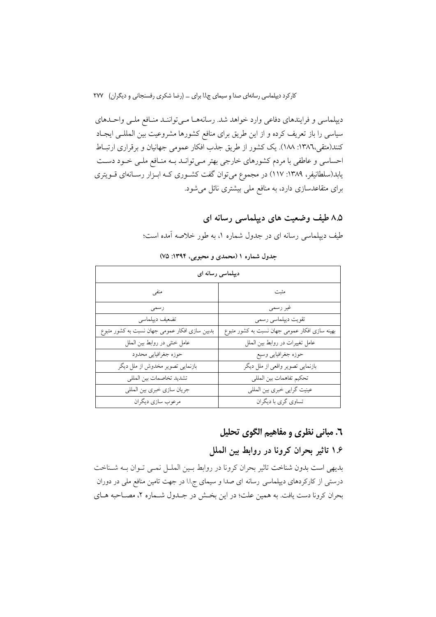دیپلماسی و فرایندهای دفاعی وارد خواهد شد. رسانهها میتوانند منافع ملبی واحدهای سیاسی را باز تعریف کرده و از این طریق برای منافع کشورها مشروعیت بین المللـی ایجـاد کنند(متقی،١٣٨٦: ١٨٨). یک کشور از طریق جذب افکار عمومی جهانیان و برقراری ارتباط احساسی و عاطفی با مردم کشورهای خارجی بهتر مـیتوانـد بـه منـافع ملـی خـود دسـت یابد(سلطانیفر، ۱۳۸۹: ۱۱۷) در مجموع میتوان گفت کشوری کـه ابـزار رسـانهای قــویتری برای متقاعدسازی دارد، به منافع ملی بیشتری نائل میشود.

> ۸.۵ طیف وضعیت های دیپلماسی رسانه ای طیف دیپلماسی رسانه ای در جدول شماره ۱، به طور خلاصه آمده است؛

| دیپلماسی رسانه ای                              |                                                |
|------------------------------------------------|------------------------------------------------|
| منفى                                           | مثبت                                           |
| رسمى                                           | غير رسمي                                       |
| تضعيف ديپلماسي                                 | تقويت ديپلماسي رسمي                            |
| بدبین سازی افکار عمومی جهان نسبت به کشور متبوع | بهینه سازی افکار عمومی جهان نسبت به کشور متبوع |
| عامل خشی در روابط بین الملل                    | عامل تغییرات در روابط بین الملل                |
| حوزه جغرافيايي محدود                           | حوزه جغرافيايي وسيع                            |
| بازنمایی تصویر مخدوش از ملل دیگر               | بازنمایی تصویر واقعی از ملل دیگر               |
| تشديد تخاصمات بين المللي                       | تحكيم تفاهمات بين المللي                       |
| جريان سازي خبري بين المللي                     | عينيت گرايي خبري بين المللي                    |
| مرعوب سازي ديگران                              | تساوي گري با ديگران                            |

جدول شماره ۱ (محمدی و محبوبی، ۱۳۹۴: ۷۵)

# ٦. مباني نظري و مفاهيم الگوي تحليل

# ۱.۶ تاثیر بحران کرونا در روابط بین الملل

بديهي است بدون شناخت تاثير بحران كرونا در روابط بين الملـل نمـى تـوان بـه شـناخت درستی از کارکردهای دیپلماسی رسانه ای صدا و سیمای ج.ا.ا در جهت تامین منافع ملی در دوران بحران كرونا دست يافت. به همين علت؛ در اين بخـش در جـدول شـماره ٢، مصـاحبه هـاي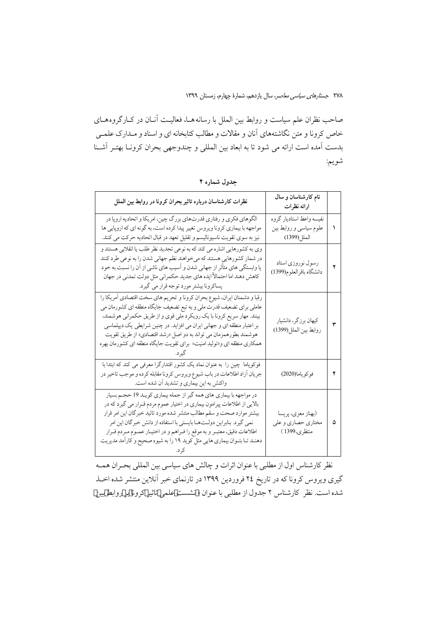صاحب نظران علم سیاست و روابط بین الملل با رسانههــا، فعالیــت آنــان در کــارگروههــای خاص کرونا و متن نگاشتههای آنان و مقالات و مطالب کتابخانه ای و اسناد و مـدارک علمـی بدست آمده است ارائه می شود تا به ابعاد بین المللی و چندوجهی بحران کرونـا بهتـر آشـنا شويم:

| نظرات كارشناسان درباره تاثير بحران كرونا در روابط بين الملل                                                                                                                                                                                                                                                                                                                                                                                           | نام کارشناسان و سال<br>ارائه نظرات                                |   |
|-------------------------------------------------------------------------------------------------------------------------------------------------------------------------------------------------------------------------------------------------------------------------------------------------------------------------------------------------------------------------------------------------------------------------------------------------------|-------------------------------------------------------------------|---|
| الگوهاي فكري و رفتاري قدرتهاي بزرگ چين، امريكا و اتحاديه اروپا در<br>مواجهه با بیماری کرونا ویروس تغییر پیدا کرده است، به گونه ای که اروپایی ها<br>نیز به سوی تقویت ناسیونالیسم و تقلیل تعهد در قبال اتحادیه حرکت می کنند.                                                                                                                                                                                                                            | نفيسه واعظ استاديار گروه<br>علوم سیاسی و روابط بین<br>الملل(1399) |   |
| وي به كشورهايي اشاره مي كند كه به نوعي تجديد نظر طلب يا انقلابي هستند و<br>در شمار کشورهایی هستند که میخواهند نظم جهانی شدن را به نوعی طرد کنند<br>یا وابستگی های متأثر از جهانی شدن و اسیب های ناشی از ان را نسبت به خود<br>کاهش دهند اما احتمالاً ایده های جدید حکمرانی مثل دولت تمدنی در جهان<br>پساکرونا بیشتر مورد توجه قرار می گیرد.                                                                                                            | رسول نوروزي استاد<br>دانشگاه باقرالعلوم(1399)                     | ۲ |
| رقبا و دشمنان ايران، شيوع بحران كرونا و تحريم هاي سخت اقتصادي أمريكا را<br>عاملی برای تضعیف قدرت ملی و به تبع تضعیف جایگاه منطقه ای کشورمان می<br>بینند. مهار سریع کرونا با یک رویکرد ملی قوی و از طریق حکمرانی هوشمند،<br>بر اعتبار منطقه ای و جهانی ایران می افزاید. در چنین شرایطی یک دیپلماسی<br>هوشمند بطورهمزمان مي تواند به دو اصل «رشد اقتصادي» از طريق تقويت<br>همکاری منطقه ای و«تولید امنیت» برای تقویت جایگاه منطقه ای کشورمان بهره       | كيهان برزگر، دانشيار<br>روابط بين الملل(1399)                     | ٣ |
| فوکویاما چین را به عنوان نماد یک کشور اقتدارگرا معرفی می کند که ابتدا با<br>جريان أزاد اطلاعات در باب شيوع ويروس كرونا مقابله كرده و موجب تاخير در<br>واکنش به این بیماری و تشدید آن شده است.                                                                                                                                                                                                                                                         | فوكوياما(2020)                                                    | ۴ |
| در مواجهه با بیماری های همه گیر از جمله بیماری کویـد 19 حجـم بسیار<br>بالایی از اطلاعات پیرامون بیماری در اختیار عموم مردم قـرار می گیرد که در<br>بیشتر موارد صحت و سقم مطالب متتشر شده مورد تائید خبرگان این امر قرار<br>نمی گیرد. بنابراین دولـتهـا بایستی با استفاده از دانش خبرگان این امر<br>اطلاعات دقيق، معتبـر و به موقع را فـراهم و در اختيـار عمـوم مـردم قـرار<br>دهنـد تـا بتـوان بيماري هايي مثل كويد ١٩ را به شيوه صحيح و كارامد مديريت | (بهناز معزى، پريسا<br>مختاری حصاری و علی<br>منتظرى،1399 )         | ۵ |

جدول شماره ۲

نظر کارشناس اول از مطلبی با عنوان اثرات و چالش های سیاسی بین المللی بحـران همـه گیری ویروس کرونا که در تاریخ ۲٤ فروردین ۱۳۹۹ در تارنمای خبر آنلاین منتشر شده اخـذ شده است. نظر كارشناس ٢ جدول از مطلبي با عنوان « نشست علمي تاثير كرونا بر روابط بين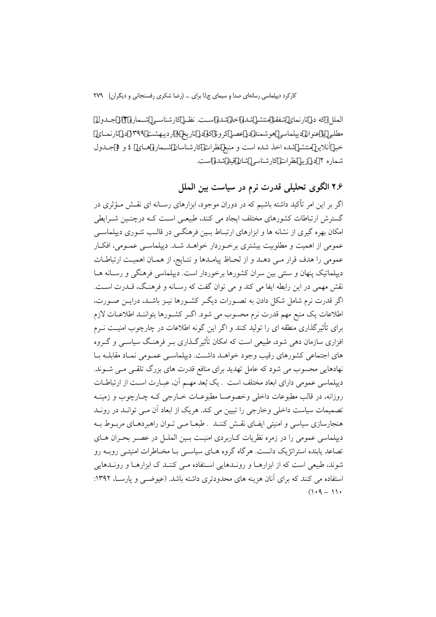الملل» که در تارنمای شفقنا منتشر شده اخذ شده است. نظـر کارشناسـی شــماره ۱۳ز جـدول مطلبی با عنوان دیپلماسی هوشمند در عصر کرونا که در تاریخ ۸اردیبهشت ۱۳۹۹ در تارنمـای خبر آنلاین منتشر شده اخذ شده است و منبع نظرات کارشناسان شـماره هـای ٤ و ٥ جـدول شماره ۲ در زیر نظرات کارشناسی شان قید شده است.

۲.۶ الگوی تحلیلی قدرت نرم در سیاست بین الملل

اگر بر این امر تأکید داشته باشیم که در دوران موجود، ابزارهای رسـانه ای نقـش مـؤثری در گسترش ارتباطات کشورهای مختلف ایجاد می کنند، طبیعـی اسـت کــه درچنـین شــرایطی امکان بهره گیری از نشانه ها و ابزارهای ارتبـاط بــین فرهنگــی در قالــب تئــوری دیپلماســی عمومی از اهمیت و مطلوبیت بیشتری برخبوردار خواهید شید. دیپلماسی عمیومی، افکیار عمومي را هدف قرار مـي دهـد و از لحـاظ پيامـدها و نتـايج، از همـان اهميـت ارتباطـات دیپلماتیک پنهان و سنتی بین سران کشورها برخوردار است. دیپلماسی فرهنگی و رسـانه هــا نقش مهمی در این رابطه ایفا می کند و می توان گفت که رسـانه و فرهنـگ، قــدرت اســت. اگر قدرت نرم شامل شکل دادن به تصـورات دیگـر کشـورها نیـز باشـد، درایــن صـورت، اطلاعات یک منبع مهم قدرت نرم محسوب می شود. اگـر کشـورها بتواننـد اطلاعـات لازم برای تأثیرگذاری منطقه ای را تولید کنند و اگر این گونه اطلاعات در چارچوب امنیـت نــرم افزاری سازمان دهی شود، طبیعی است که امکان تأثیر گـذاری بــر فرهنـگ سیاســی و گــروه های اجتماعی کشورهای رقیب وجود خواهـد داشـت. دیپلماسـی عمـومی نمـاد مقابلــه بـا نهادهایی محسوب می شود که عامل تهدید برای منافع قدرت های بزرگ تلقـی مـی شــوند. دیپلماسی عمومی دارای ابعاد مختلف است . یک بُعد مهـم آن، عبـارت اسـت از ارتباطـات روزانه، در قالب مطبوعات داخلی وخصوصـا مطبوعـات خــارجی کــه چــارچوب و زمینــه تصمیمات سیاست داخلی وخارجی را تبیین می کند. هریک از ابعاد آن مـی توانـد در رونـد هنجارسازی سیاسی و امنیتی ایفـای نقـش کننـد . طبعـا مـی تـوان راهبردهـای مربـوط بـه دیپلماسی عمومی را در زمره نظریات کباربردی امنیت پین الملیل در عصبر بحران هیای تصاعد پابنده استراتژیک دانست. هرگاه گروه هـای سیاســی بــا مخــاطرات امنیتــی روبــه رو .<br>شوند، طبیعی است که از ابزارهــا و رونــدهایی اســتفاده مــی کننــد ک ابزارهــا و رونــدهایی استفاده می کنند که برای آنان هزینه های محدودتری داشته باشد. (عبوضبی و پارســا، ۱۳۹۲:  $(1.9 - 1)$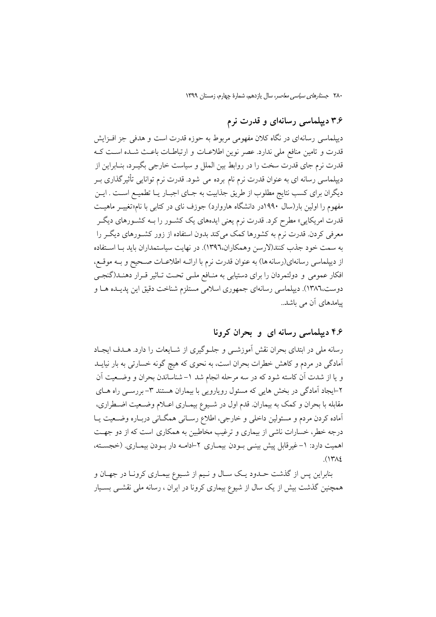# ۳.۶ دیپلماسی رسانهای و قدرت نرم

دیپلماسی رسانهای در نگاه کلان مفهومی مربوط به حوزه قدرت است و هدفی جز افـزایش قدرت و تامین منافع ملی ندارد. عصر نوین اطلاعـات و ارتباطـات باعـث شـده اسـت کـه قدرت نرم جای قدرت سخت را در روابط بین الملل و سیاست خارجی بگیـرد، بنــابراین از دیپلماسی رسانه ای به عنوان قدرت نرم نام برده می شود. قدرت نرم توانایی تأثیرگذاری بـر دیگران برای کسب نتایج مطلوب از طریق جذابیت به جـای اجبـار یـا تطمیـع اسـت . ایــن مفهوم را اولین بار(سال ۱۹۹۰در دانشگاه هاروارد) جوزف نای در کتابی با نام«تغییـر ماهیـت قدرت امریکای<sub>ی</sub>» مطرح کرد. قدرت نرم یعنی ایدههای یک کشـور را بــه کشـورهای دیگـر معرفی کردن. قدرت نرم به کشورها کمک میکند بدون استفاده از زور کشـورهای دیگـر را به سمت خود جذب كنند(لارسن وهمكاران،١٣٩٦). در نهايت سياستمداران بايد بـا اسـتفاده از دیپلماسی رسانهای(رسانه ها) به عنوان قدرت نرم با ارائـه اطلاعــات صــحیح و بــه موقــع، افکار عمومی و دولتمردان را برای دستیابی به منافع ملبی تحت تـاثیر قـرار دهنـد(گنجـی دوست،١٣٨٦). ديپلماسي رسانهاي جمهوري اسلامي مستلزم شناخت دقيق اين پديـده هـا و پیامدهای آن می باشد..

### ۴.۶ دیپلماسی رسانه ای و بحران کرونا

رسانه ملی در ابتدای بحران نقش آموزشـی و جلـوگیری از شـایعات را دارد. هــدف ایجـاد آمادگی در مردم و کاهش خطرات بحران است، به نحوی که هیچ گونه خسارتی به بار نیایــد و یا از شدت آن کاسته شود که در سه مرحله انجام شد ۱–شناساندن بحران و وضـعیت آن ۲-ایجاد آمادگی در بخش هایی که مسئول رویارویی با بیماران هستند ۳- بررسـی راه هــای مقابله با بحران و کمک به بیماران. قدم اول در شـیوع بیمـاری اعــلام وضــعیت اضـطراری، آماده کردن مردم و مسئولین داخلی و خارجی، اطلاع رسـانی همگـانی دربـاره وضـعیت یـا درجه خطر، خسارات ناشی از بیماری و ترغیب مخاطبین به همکاری است که از دو جهـت اهمیت دارد: ١-غیرقابل پیش بینبی بـودن بیمـاری ٢-ادامـه دار بـودن بیمـاری. (خجسـته،  $(141)$ 

بنابراین پس از گذشت حـدود یـک سـال و نـیم از شـیوع بیمـاری کرونـا در جهـان و همچنین گذشت بیش از یک سال از شیوع بیماری کرونا در ایران ، رسانه ملی نقشــی بسـیار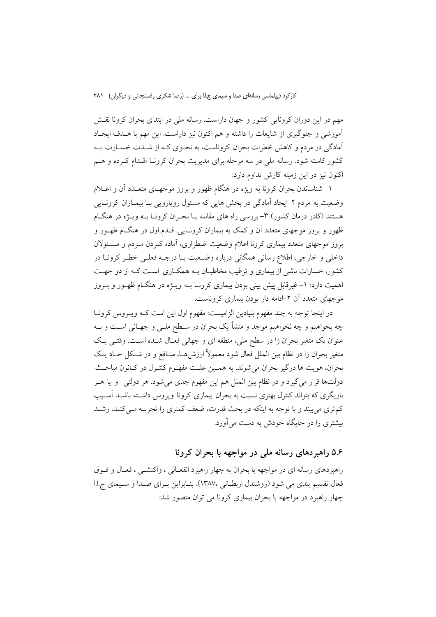مهم در این دوران کرونایی کشور و جهان داراست. رسانه ملی در ابتدای بحران کرونا نقــش آموزشی و جلوگیری از شایعات را داشته و هم اکنون نیز داراست. این مهم با هــدف ایجـاد آمادگی در مردم و کاهش خطرات بحران کروناست، به نحـوی کـه از شـدت خسـارت بـه کشور کاسته شود. رسانه ملی در سه مرحله برای مدیریت بحران کرونـا اقــدام کــرده و هــم اکنون نیز در این زمینه کارش تداوم دارد:

۱– شناساندن بحران کرونا به ویژه در هنگام ظهور و بروز موجهـای متعـدد آن و اعــلام وضعیت به مردم ۲−ایجاد آمادگی در بخش هایی که مسئول رویارویی بـا بیمـاران کرونــایی هستند (کادر درمان کشور) ۳- بررسی راه های مقابله بــا بحــران کرونــا بــه ویـــژه در هنگــام ظهور و بروز موجهای متعدد آن و کمک به بیماران کرونـایی. قـدم اول در هنگـام ظهــور و بروز موجهای متعدد بیماری کرونا اعلام وضعیت اضطراری، آماده کـردن مـردم و مسـئولان داخلي و خارجي، اطلاع رساني همگاني درباره وضـعيت يــا درجــه فعلــي خطـر كرونــا در کشور، خسارات ناشی از بیماری و ترغیب مخاطبـان بــه همکــاری اســت کــه از دو جهــت اهمیت دارد: ۱–غیرقابل پیش بینی بودن بیماری کرونـا بــه ویــژه در هنگــام ظهــور و بــروز موجهای متعدد آن ۲-ادامه دار بودن بیماری کروناست.

در اینجا توجه به چند مفهوم بنیادین الزامیست: مفهوم اول این است کـه ویـروس کرونـا چه بخواهیم و چه نخواهیم موجد و منشأ یک بحران در سـطح ملـی و جهـانی اسـت و بـه عنوان یک متغیر بحران زا در سطح ملی، منطقه ای و جهانی فعـال شــده اســت. وقتــی یــک متغیر بحران زا در نظام بین الملل فعال شود معمولاً ارزشها، منـافع و در شـكل حـاد یـك بحران، هويت ها درگير بحران مي شوند. به همـين علـت مفهـوم كنتـرل در كـانون مباحـث دولتها قرار میگیرد و در نظام بین الملل هم این مفهوم جدی میشود. هر دولتی و یا هـر بازیگری که بتواند کنترل بهتری نسبت به بحران بیماری کرونا ویروس داشــته باشــد آســیب كمتري مي بيند و با توجه به اينكه در بحث قدرت، ضعف كمترى را تجربـه مـيكنـد، رشـد بیشتری را در جایگاه خودش به دست می آورد.

۵.۶ راهبردهای رسانه ملی در مواجهه با بحران کرونا

راهبردهای رسانه ای در مواجهه با بحران به چهار راهبرد انفعـالی ، واکنشــی ، فعـال و فــوق فعال تقسیم بندی می شود (روشندل اربطانی ۱۳۸۷٬). بنـابراین بـرای صـدا و سـیمای ج.ا.ا چهار راهبرد در مواجهه با بحران بیماری کرونا می توان متصور شد: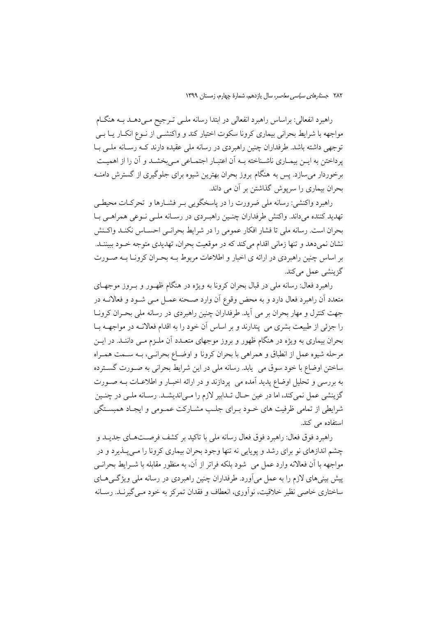راهبرد انفعالی: براساس راهبرد انفعالی در ابتدا رسانه ملــی تــرجیح مــیدهــد بــه هنگــام مواجهه با شرایط بحرانی بیماری کرونا سکوت اختیار کند و واکنشــی از نــوع انکــار یــا بــی توجهی داشته باشد. طرفداران چنین راهبردی در رسانه ملی عقیده دارند کـه رسـانه ملـی بـا یرداختن به ایــن بیمــاری ناشــناخته بــه أن اعتبــار اجتمــاعی مــی بخشــد و أن را از اهمیــت برخوردار میسازد. پس به هنگام بروز بحران بهترین شیوه برای جلوگیری از گسترش دامنــه بحران بیماری را سرپوش گذاشتن بر آن می داند.

راهبرد واکنشی: رسانه ملی ضرورت را در پاسخگویی بـر فشـارها و تحرکـات محیطـی تهدید کننده میداند. واکنش طرفداران چنـین راهبـردی در رسـانه ملـی نـوعی همراهـی بـا بحران است. رسانه ملي تا فشار افكار عمومي را در شرايط بحرانـي احســاس نكنـد واكــنش نشان نمی دهد و تنها زمانی اقدام می کند که در موقعیت بحران، تهدیدی متوجه خـود ببیننــد. بر اساس چنین راهبردی در ارائه ی اخبار و اطلاعات مربوط بـه بحـران کرونــا بــه صــورت گز بنشے عمل مے کند.

راهبرد فعال: رسانه ملي در قبال بحران كرونا به ويژه در هنگام ظهـور و بـروز موجهـاي متعدد آن راهبرد فعال دارد و به محض وقوع آن وارد صـحنه عمــل مــي شــود و فعالانــه در جهت کنترل و مهار بحران بر می آید. طرفداران چنین راهبردی در رسانه ملی بحـران کرونــا را جزئي از طبيعت بشري مي پندارند و بر اساس آن خود را به اقدام فعالانــه در مواجهــه بــا بحران بیماری به ویژه در هنگام ظهور و بروز موجهای متعـدد آن ملـزم مـبی داننـد. در ایــن مرحله شيوه عمل از انطباق و همراهي با بحران كرونا و اوضــاع بحرانــي، بــه ســمت همــراه ساختن اوضاع با خود سوق می یابد. رسانه ملی در این شرایط بحرانی به صـورت گسـترده به بررسی و تحلیل اوضاع پدید آمده می پردازند و در ارائه اخبـار و اطلاعـات بــه صــورت گزینشی عمل نمیکند، اما در عین حـال تـدابیر لازم را مـی|ندیشـد. رسـانه ملـی در چنـین شرايطي از تمامي ظرفيت هاي خـود بـراي جلـب مشـاركت عمـومي و ايجـاد همبسـتگي استفاده می کند.

راهبرد فوق فعال: راهبرد فوق فعال رسانه ملي با تاكيد بر كشف فرصـتهـاي جديــد و چشم اندازهای نو برای رشد و پویایی نه تنها وجود بحران بیماری کرونا را مـیپـذیرد و در مواجهه با آن فعالانه وارد عمل می شود بلکه فراتر از آن، به منظور مقابله با شــرایط بحرانــی پیش بینی های لازم را به عمل می آورد. طرفداران چنین راهبردی در رسانه ملی ویژگی هــای ساختاري خاصي نظير خلاقيت، نوأوري، انعطاف و فقدان تمركز به خود مـي گيرنــد. رســانه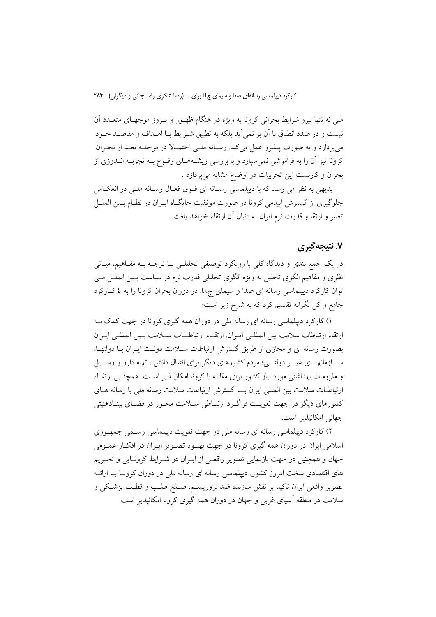ملي نه تنها پيرو شرايط بحراني كرونا به ويژه در هنگام ظهـور و بـروز موجهـاي متعــدد آن نیست و در صدد انطباق با آن بر نمی آید بلکه به تطبیق شـرایط بــا اهــداف و مقاصــد خــود می پردازد و به صورت پیشرو عمل می کند. رسانه ملـی احتمـالا در مرحلـه بعـد از بحـران کرونا نیز آن را به فراموشی نمی سپارد و با بررسی ریشـههـای وقـوع بـه تجربـه انــدوزی از بحران و كاربست اين تجربيات در اوضاع مشابه مي يردازد .

بدیهی به نظر می رسد که با دیپلماسی رسـانه ای فـوق فعـال رسـانه ملـی در انعکـاس جلوگیری از گسترش اییدمی کرونا در صورت موفقیت جایگـاه ایـران در نظـام بـین الملــل تغییر و ارتقا و قدرت نرم ایران به دنبال آن ارتقاء خواهد یافت.

### ۷. نتیجه گیری

در یک جمع بندی و دیدگاه کلی با رویکرد توصیفی تحلیلـی بــا توجــه بــه مفــاهیم، مبــانـی نظري و مفاهيم الگوي تحليل به ويژه الگوي تحليلي قدرت نرم در سياست بـين الملــل مـي توان کارکرد دیپلماسی رسانه ای صدا و سیمای ج.ا.ا. در دوران بحران کرونا را به ٤ کـارکرد جامع و کل نگرانه تقسیم کرد که به شرح زیر است؛

۱) کارکرد دیپلماسی رسانه ای رسانه ملی در دوران همه گیری کرونا در جهت کمک بـه ارتقاء ارتباطات سلامت بين المللبي ايبران ارتقباء ارتباطـيات سبلامت ببين المللبي ايبران بصورت رسانه ای و مجازی از طریق گسترش ارتباطات ســلامت دولـت ایــران بــا دولتهــا، ســــازمانهــــای غیــــر دولتــــی؛ مردم کشورهای دیگر برای انتقال دانش ، تهیه دارو و وســایل و ملزومات بهداشتی مورد نیاز کشور برای مقابله با کرونا امکانیــذیر اســت. همچنــین ارتقــاء ارتباطـات سلامت بین المللی ایران بــا گسترش ارتباطات سلامت رسانه ملی با رسانه هـای کشورهای دیگر در جهت تقویت فراگـرد ارتبـاطی سـلامت محـور در فضـای بینـاذهنیتی جهانی امکانیذیر است.

۲) کارکرد دیپلماسی رسانه ای رسانه ملی در جهت تقویت دیپلماسی رسـمی جمهـوری اسلامی ایران در دوران همه گیری کرونا در جهت بهبود تصـویر ایـران در افکـار عمـومی جهان و همچنین در جهت بازنمایی تصویر واقعـی از ایـران در شـرایط کرونـایی و تحـریم های اقتصادی سخت امروز کشور. دیپلماسی رسانه ای رسانه ملی در دوران کرونـا بـا ارائــه تصویر واقعی ایران تاکید بر نقش سازنده ضد تروریسم، صـلح طلـب و قطـب پزشـکی و سلامت در منطقه آسیای غربی و جهان در دوران همه گیری کرونا امکانیذیر است.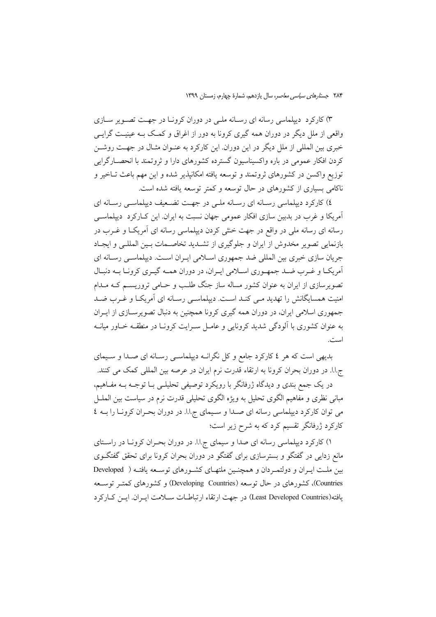۳) کارکرد دیپلماسی رسانه ای رسـانه ملـی در دوران کرونـا در جهـت تصـویر سـازی واقعی از ملل دیگر در دوران همه گیری کرونا به دور از اغراق و کمک بــه عینیــت گرایــی خبری بین المللی از ملل دیگر در این دوران. این کارکرد به عنـوان مثـال در جهـت روشــن کردن افکار عمومی در باره واکسیناسیون گسترده کشورهای دارا و ثروتمند با انحصـارگرایی توزیع واکسن در کشورهای ثروتمند و توسعه یافته امکانیذیر شده و این مهم باعث تــاخیر و ناکامی بسیاری از کشورهای در حال توسعه و کمتر توسعه یافته شده است.

٤) کارکرد دیپلماسی رسـانه ای رسـانه ملـی در جهـت تضـعیف دیپلماسـی رسـانه ای ۔<br>اَمریکا و غرب در بدبین سازی افکار عمومی جهان نسبت به ایران. این کــارکرد دیپلماســی رسانه ای رسانه ملی در واقع در جهت خنثی کردن دیپلماسی رسانه ای آمریکI و غــرب در بازنمایی تصویر مخدوش از ایران و جلوگیری از تشـدید تخاصـمات بـین المللـی و ایجـاد جریان سازی خبری بین المللی ضد جمهوری اسلامی ایـران اسـت. دیپلماسـی رسـانه ای آمریکـا و غـرب ضـد جمهـوري اسـلامي ايـران، در دوران همـه گيـري كرونـا بـه دنبـال تصویرسازی از ایران به عنوان کشور مساله ساز جنگ طلب و حـامی تروریســم کــه مــدام امنیت همسایگانش را تهدید مـی کنـد اسـت. دیپلماسـی رسـانه ای آمریکـا و غـرب ضـد جمهوری اسلامی ایران، در دوران همه گیری کرونا همچنین به دنبال تصویرسـازی از ایــران به عنوان کشوری با آلودگی شدید کرونایی و عامـل سـرایت کرونـا در منطقـه خـاور میانـه است.

بدیهی است که هر ٤ کارکرد جامع و کل نگرانـه دیپلماسـی رسـانه ای صـدا و سـیمای ج.اً. در دوران بحران كرونا به ارتقاء قدرت نرم ايران در عرصه بين المللي كمك مي كنند.

در یک جمع بندی و دیدگاه ژرفانگر با رویکرد توصیفی تحلیلـی بــا توجــه بــه مفــاهیم، مبانی نظری و مفاهیم الگوی تحلیل به ویژه الگوی تحلیلی قدرت نرم در سیاست بین الملــل می توان کارکرد دیپلماسی رسانه ای صدا و سیمای ج.ا.ا. در دوران بحـران کرونـا را بـه ٤ کارکرد ژرفانگر تقسیم کرد که به شرح زیر است؛

۱) کارکرد دیپلماسی رسانه ای صدا و سیمای ج.ا.ا. در دوران بحـران کرونــا در راســتای مانع زدایی در گفتگو و بسترسازی برای گفتگو در دوران بحران کرونا برای تحقق گفتگـوی بین ملت ایـران و دولتمـردان و همچنـین ملتهـای کشـورهای توسـعه یافتـه ( Developed Countries)، کشورهای در حال توسعه (Developing Countries) و کشورهای کمتـر توسـعه يافته(Least Developed Countries) در جهت ارتقاء ارتباطـات سـلامت ايـران. ايــن كــاركرد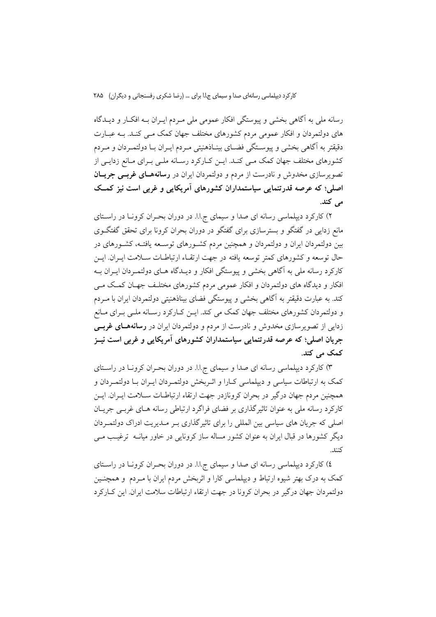رسانه ملي به آگاهي بخشي و پيوستگي افكار عمومي ملي مـردم ايـران بــه افكــار و ديــدگاه های دولتمردان و افکار عمومی مردم کشورهای مختلف جهان کمک مـبی کنـد. بـه عبــارت دقیقتر به آگاهی بخشی و پیوسـتگی فضـای بینـاذهنیتی مـردم ایـران بـا دولتمـردان و مـردم کشورهای مختلف جهان کمک مـی کنـد. ایـن کـارکرد رسـانه ملـی بـرای مـانع زدایـی از تصویرسازی مخدوش و نادرست از مردم و دولتمردان ایران در **رسانههـای غربـی جریــان** اصلی؛ که عرصه قدرتنمایی سیاستمداران کشورهای آمریکایی و غربی است نیز کمک می کند.

۲) کارکرد دیپلماسی رسانه ای صدا و سیمای ج.ا.ا. در دوران بحـران کرونـا در راسـتای مانع زدایی در گفتگو و بسترسازی برای گفتگو در دوران بحران کرونا برای تحقق گفتگـوی بین دولتمردان ایران و دولتمردان و همچنین مردم کشـورهای توسـعه یافتـه، کشـورهای در حال توسعه و كشورهاي كمتر توسعه يافته در جهت ارتقـاء ارتباطـات سـلامت ايـران ايــن کارکرد رسانه ملی به آگاهی بخشی و پیوستگی افکار و دیـدگاه هـای دولتمـردان ایـران بـه افکار و دیدگاه های دولتمردان و افکار عمومی مردم کشورهای مختلـف جهـان کمـک مـی کند. به عبارت دقیقتر به آگاهی بخشی و پیوستگی فضای بیناذهنیتی دولتمردان ایران با مــردم و دولتمردان کشورهای مختلف جهان کمک می کند. ایــن کــارکرد رســانه ملــی بــرای مــانع زدایی از تصویرسازی مخدوش و نادرست از مردم و دولتمردان ایران در **رسانههـای غربــی** جریان اصلی؛ که عرصه قدرتنمایی سیاستمداران کشورهای آمریکایی و غربی است نیــز کمک می کند.

۳) کارکرد دیپلماسی رسانه ای صدا و سیمای ج.ا.ا. در دوران بحـران کرونـا در راسـتای کمک به ارتباطات سیاسی و دیپلماسی کـارا و اثـربخش دولتمـردان ایــران بـا دولتمـردان و همچنین مردم جهان درگیر در بحران کرونازدر جهت ارتقاء ارتباطـات سـلامت ايــران. ايــن کارکرد رسانه ملی به عنوان تاثیرگذاری بر فضای فراگرد ارتباطی رسانه هـای غربـی جریـان اصلی که جریان های سیاسی بین المللی را برای تاثیرگذاری بـر مـدیریت ادراک دولتمـردان دیگر کشورها در قبال ایران به عنوان کشور مساله ساز کرونایی در خاور میانــه ترغیــب مــی كنند.

٤) كاركرد ديپلماسي رسانه اي صدا و سيماي ج.ا.ا. در دوران بحـران كرونـا در راسـتاي کمک به درک بهتر شیوه ارتباط و دیپلماسی کارا و اثربخش مردم ایران با مـردم ًو همچنـین دولتمردان جهان درگیر در بحران کرونا در جهت ارتقاء ارتباطات سلامت ایران. این کــارکرد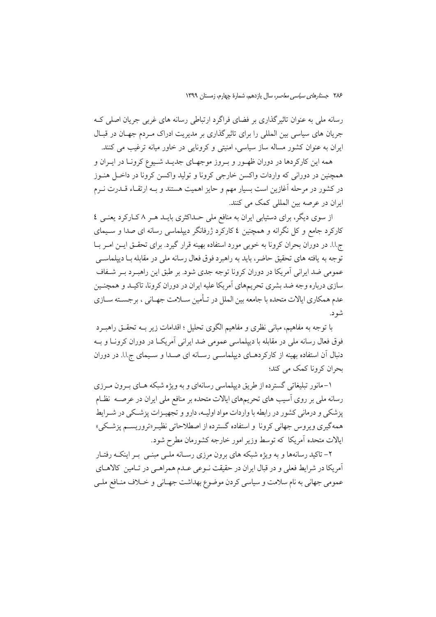رسانه ملي به عنوان تاثیر گذاري بر فضاي فراگرد ارتباطي رسانه هاي غربي جريان اصلي ک جریان های سیاسی بین المللی را برای تاثیر گذاری بر مدیریت ادراک مـردم جهـان در قبـال ایران به عنوان کشور مساله ساز سیاسی، امنیتی و کرونایی در خاور میانه ترغیب می کنند.

همه این کارکردها در دوران ظهـور و بـروز موجهـای جدیـد شـیوع کرونـا در ایـران و همچنین در دورانی که واردات واکسن خارجی کرونا و تولید واکسن کرونا در داخـل هنــوز در کشور در مرحله آغازین است بسیار مهم و حایز اهمیت هستند و بــه ارتقــاء قــدرت نــرم ایران در عرصه بین المللی کمک می کنند.

از سوی دیگر، برای دستیابی ایران به منافع ملی حـداکثری بایـد هـر ۸ کـارکرد یعنـی ٤ کارکرد جامع و کل نگرانه و همچنین ٤ کارکرد ژرفانگر دیپلماسی رسانه ای صدا و سـیمای ج.ا.ا. در دوران بحران کرونا به خوبی مورد استفاده بهینه قرار گیرد. برای تحقــق ایــن امــر بــا توجه به يافته هاي تحقيق حاضر، بايد به راهبرد فوق فعال رسانه ملي در مقابله بــا دييلماســي عمومی ضد ایرانی آمریکا در دوران کرونا توجه جدی شود. بر طبق این راهب د به شفاف سازي درباره وجه ضد بشري تحريمهاي آمريكا عليه ايران در دوران كرونا، تاكيـد و همچنـين عدم همکاری ایالات متحده با جامعه بین الملل در تـأمین سـلامت جهـانی ، برجسـته سـازی شو د.

با توجه به مفاهیم، مبانی نظری و مفاهیم الگوی تحلیل ؛ اقدامات زیر بــه تحقــق راهبــرد فوق فعال رسانه ملي در مقابله با دييلماسي عمومي ضد ايراني آمريكـا در دوران كرونــا و بــه دنبال آن استفاده بهینه از کارکردهـای دیپلماسـی رسـانه ای صـدا و سـیمای ج.ا.ا. در دوران بحران کرونا کمک می کند؛

۱-مانور تبلیغاتی گسترده از طریق دیپلماسی رسانهای و به ویژه شبکه هـای بـرون مـرزی رسانه ملی بر روی آسیب های تحریمهای ایالات متحده بر منافع ملی ایران در عرصــه نظــام یزشکی و درمانی کشور در رابطه با واردات مواد اولیـه، دارو و تجهیـزات پزشـکی در شـرایط همهگیری ویروس جهانی کرونا و استفاده گسترده از اصطلاحاتی نظیـر«تروریسـم پزشـکی» ایالات متحده آمریکا که توسط وزیر امور خارجه کشورمان مطرح شود.

۲– تاکید رسانهها و به ویژه شبکه های برون مرزی رسـانه ملــی مبنــی بــر اینکــه رفتــار آمريكا در شرايط فعلي و در قبال ايران در حقيقت نــوعي عــدم هـمراهــي در تــامين كالاهــاي عمومي جهاني به نام سلامت و سياسي كردن موضوع بهداشت جهـاني و خــلاف منـافع ملــي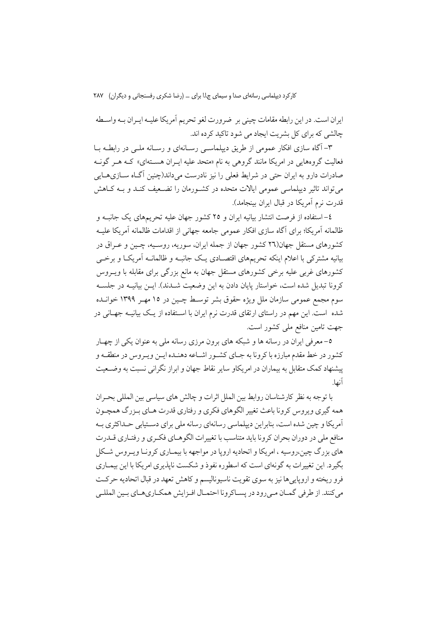ايران است. در اين رابطه مقامات چيني بر ضرورت لغو تحريم أمريكا عليـه ايـران بـه واسـطه چالشی که برای کل پشریت ایجاد می شود تاکید کرده اند.

۳– آگاه سازی افکار عمومی از طریق دیپلماسـبی رسـانهای و رسـانه ملـبی در رابطـه بــا .<br>فعالیت گروههایی در امریکا مانند گروهی به نام «متحد علیه ایـران هســتهای» کــه هــر گونــه صادرات دارو به ایران حتی در شرایط فعلی را نیز نادرست میداند(چنین آگIه ســازیهــایی می تواند تاثیر دیپلماسی عمومی ایالات متحده در کشـورمان را تضـعیف کنـد و بـه کــاهش قدرت نرم أمريكا در قبال ايران بينجامد).

٤–استفاده از فرصت انتشار بیانیه ایران و ٢٥ کشور جهان علیه تحریمهای یک جانبـه و ظالمانه آمریکا؛ برای آگاه سازی افکار عمومی جامعه جهانی از اقدامات ظالمانه آمریکا علیـه کشورهای مستقل جهان(۲۹ کشور جهان از جمله ایران، سوریه، روسییه، چیبن و عبراق در بیانیه مشترکی با اعلام اینکه تحریمهای اقتصـادی یـک جانبـه و ظالمانـه آمریکـا و برخــی کشورهای غربی علیه برخی کشورهای مستقل جهان به مانع بزرگی برای مقابله با ویــروس كرونا تبديل شده است، خواستار پايان دادن به اين وضعيت شــدند). ايــن بيانيــه در جلســه سوم مجمع عمومی سازمان ملل ویژه حقوق بشر توسـط چـین در ۱۵ مهـر ۱۳۹۹ خوانــده شده است. این مهم در راستای ارتقای قدرت نرم ایران با اسـتفاده از یـک بیانیــه جهــانی در جهت تامین منافع ملی کشور است.

٥– معرفي ايران در رسانه ها و شبكه هاي برون مرزي رسانه ملي به عنوان يكي از چهــار کشور در خط مقدم مبارزه با کرونا به جـای کشـور اشـاعه دهنـده ايـن ويـروس در منطقـه و پیشنهاد کمک متقابل به بیماران در امریکاو سایر نقاط جهان و ابراز نگرانی نسبت به وضـعیت آنها.

یا توجه به نظر کارشناسان روابط بین الملل اثرات و چالش های سیاسی بین المللی بحیران همه گیری ویروس کرونا باعث تغییر الگوهای فکری و رفتاری قدرت هـای بـزرگ همچـون اًمریکا و چین شده است، بنابراین دیپلماسی رسانهای رسانه ملی برای دستیابی حـداکثری بــه منافع ملی در دوران بحران کرونا باید متناسب با تغییرات الگو هـای فکـری و رفتـاری قــدرت های بزرگ چین،روسیه ، امریکا و اتحادیه اروپا در مواجهه با بیمـاری کرونـا ویـروس شـکل بگیرد. این تغییرات به گونهای است که اسطوره نفوذ و شکست ناپذیری امریکا با این بیمـاری فرو ریخته و اروپاییها نیز به سوی تقویت ناسیونالیسم و کاهش تعهد در قبال اتحادیه حرکت مي كنند. از طرفي گمـان مـيرود در پسـاكرونا احتمـال افـزايش همكـاريهـاي بـين المللـي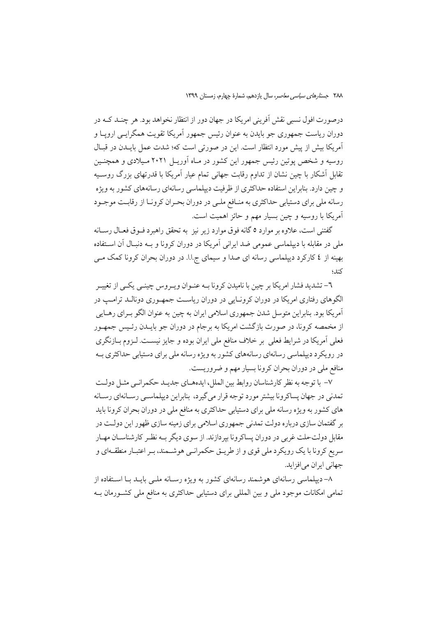درصورت افول نسبی نقش آفرینی امریکا در جهان دور از انتظار نخواهد بود. هر چنـد کـه در دوران ریاست جمهوری جو بایدن به عنوان رئیس جمهور آمریکا تقویت همگرایس اروپیا و آمريكا بيش از پيش مورد انتظار است. اين در صورتي است كه؛ شدت عمل بايــدن در قبــال روسیه و شخص پوتین رئیس جمهور این کشور در مـاه آوریــل ۲۰۲۱ مـیلادی و همچنــین تقابل اَشکار با چین نشان از تداوم رقابت جهانی تمام عیار اَمریکا با قدرتهای بزرگ روسـیه و چین دارد. بنابراین استفاده حداکثری از ظرفیت دیپلماسی رسانهای رسانههای کشور به ویژه رسانه ملی برای دستیابی حداکثری به منـافع ملـی در دوران بحـران کرونـا از رقابـت موجـود آمریکا با روسیه و چین بسیار مهم و حائز اهمیت است.

گفتنی است، علاوه بر موارد ٥ گانه فوق موارد زیر نیز به تحقق راهبرد فــوق فعــال رســانه ملی در مقابله با دیپلماسی عمومی ضد ایرانی آمریکا در دوران کرونا و بــه دنبـال آن اســتفاده بهینه از ٤ کارکرد دیپلماسی رسانه ای صدا و سیمای ج.ا.ا. در دوران بحران کرونا کمک مــی كند؛

٦- تشدید فشار امریکا بر چین با نامیدن کرونا بــه عنــوان ویــروس چینــی یکــی از تغییــر الگوهای رفتاری امریکا در دوران کرونـایی در دوران ریاسـت جمهـوری دونالـد ترامـپ در اّمریکا بود. بنابراین متوسل شدن جمهوری اسلامی ایران به چین به عنوان الگو بـرای رهــایی از مخمصه كرونا، در صورت بازگشت امريكا به برجام در دوران جو بايــدن رئـيس جمهـور فعلی آمریکا در شرایط فعلی بر خلاف منافع ملی ایران بوده و جایز نیست. لـزوم بـازنگری در رويكرد ديپلماسي رسانهاي رسانههاي كشور به ويژه رسانه ملي براي دستيابي حداكثري بـه منافع ملي در دوران بحران كرونا بسيار مهم و ضروريست.

٧- با توجه به نظر كارشناسان روابط بين الملل، ايدههـاي جديـد حكمرانـي مثـل دولـت تمدني در جهان يساكرونا بيشتر مورد توجه قرار مي گيرد، بنابراين ديپلماسـي رسـانهاي رسـانه های کشور به ویژه رسانه ملی برای دستیابی حداکثری به منافع ملی در دوران بحران کرونا باید بر گفتمان سازی درباره دولت تمدنی جمهوری اسلامی برای زمینه سازی ظهور این دولت در مقابل دولت-ملت غربي در دوران يساكرونا بيردازند. از سوى ديگر بــه نظـر كارشناســان مهــار سریع کرونا با یک رویکرد ملی قوی و از طریــق حکمرانــی هوشــمند، بــر اعتبــار منطقــهای و جهاني ايران مي افزايد.

۸– دیپلماسی رسانهای هوشمند رسانهای کشور به ویژه رسـانه ملـی بایــد بــا اسـتفاده از تمامی امکانات موجود ملی و بین المللی برای دستیابی حداکثری به منافع ملی کشورمان بـه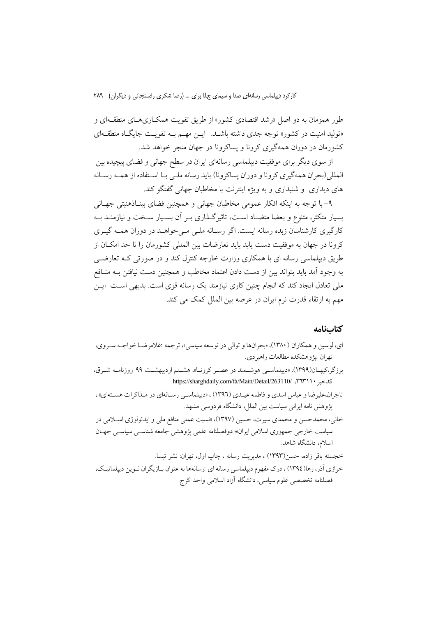طور همزمان به دو اصل «رشد اقتصادی کشور» از طریق تقویت همکـاریهـای منطقـهای و «تولید امنیت در کشور» توجه جدی داشته باشـد. ایـن مهـم بـه تقویـت جایگـاه منطقـهای کشورمان در دوران همهگیری کرونا و پساکرونا در جهان منجر خواهد شد.

از سوی دیگر برای موفقیت دیپلماسی رسانهای ایران در سطح جهانی و فضای پیچیده بین المللي(بحران همهگیري كرونا و دوران يساكرونا) بايد رسانه ملـي بـا اسـتفاده از همـه رسـانه های دیداری و شنیداری و به ویژه اینترنت با مخاطبان جهانی گفتگو کند.

۹- با توجه به اینکه افکار عمومی مخاطبان جهانی و همچنین فضای بینـاذهنیتی جهـانی بسیار متکثر، متنوع و بعضا متضـاد اسـت، تاثیرگـذاری بـر آن بسـیار سـخت و نیازمنـد بـه کارگیری کارشناسان زبده رسانه ایست. اگر رسـانه ملـی مـی خواهــد در دوران همــه گیــری کرونا در جهان به موفقیت دست یابد باید تعارضات بین المللم کشورمان را تا حد امکــان از طریق دیپلماسی رسانه ای با همکاری وزارت خارجه کنترل کند و در صورتی کـه تعارضــی به وجود آمد باید بتواند بین از دست دادن اعتماد مخاطب و همچنین دست نیافتن بــه منــافع ملی تعادل ایجاد کند که انجام چنین کاری نیازمند یک رسانه قوی است. بدیهی است ایـن مهم به ارتقاء قدرت نرم ایران در عرصه بین الملل کمک می کند.

#### كتابنامه

اي، لوسين و همكاران (١٣٨٠)، «بحرانها و توالي در توسعه سياسي»، ترجمه :غلامرضـا خواجـه سـروي، تهران :يژوهشكده مطالعات راهبردي. برزگر،کیهـان(۱۳۹۹). «دیپلماســی هوشــمند در عصــر کرونــا»، هشــتم اردیبهشــت ۹۹ روزنامــه شــرق، https://sharghdaily.com/fa/Main/Detail/263110/ ٢٦٣١١٠ تاجران،علیرضا و عباس اسدي و فاطمه عیـدي (١٣٩٦) ، «ديپلماسـي رسـانهاي در مـذاكرات هسـتهاي» ، پژوهش نامه ایرانی سیاست بین الملل، دانشگاه فردوسی مشهد. خانبي، محمدحسن و محمدي سيرت، حسين (١٣٩٧)، «نسبت عملي منافع ملي و ايدئولوژي اسـلامي در سیاست خارجی جمهوری اسلامی ایران»؛ دوفصلنامه علمی یژوهشی جامعه شناسبی سیاسبی جهـان

> اسلام، دانشگاه شاهد. خجسته باقر زاده، حسن(۱۳۹۳) ، مديريت رسانه ، چاپ اول، تهران: نشر تيسا.

خرازی آذر، رها(١٣٩٤)، درک مفهوم دیپلماسی رسانه ای :رسانهها به عنوان بـازیگران نـوین دیپلماتیـک، فصلنامه تخصصي علوم سياسي، دانشگاه آزاد اسلامي واحد كرج.